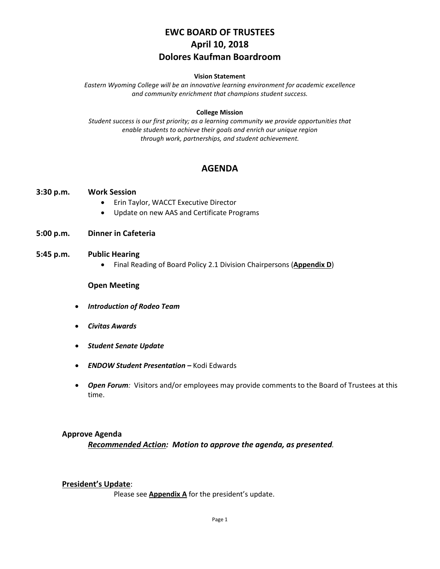# **EWC BOARD OF TRUSTEES April 10, 2018 Dolores Kaufman Boardroom**

#### **Vision Statement**

*Eastern Wyoming College will be an innovative learning environment for academic excellence and community enrichment that champions student success.*

#### **College Mission**

*Student success is our first priority; as a learning community we provide opportunities that enable students to achieve their goals and enrich our unique region through work, partnerships, and student achievement.*

## **AGENDA**

#### **3:30 p.m. Work Session**

- Erin Taylor, WACCT Executive Director
- Update on new AAS and Certificate Programs
- **5:00 p.m. Dinner in Cafeteria**

#### **5:45 p.m. Public Hearing**

• Final Reading of Board Policy 2.1 Division Chairpersons (**Appendix D**)

#### **Open Meeting**

- *Introduction of Rodeo Team*
- *Civitas Awards*
- *Student Senate Update*
- *ENDOW Student Presentation –* Kodi Edwards
- *Open Forum:* Visitors and/or employees may provide comments to the Board of Trustees at this time.

#### **Approve Agenda**

*Recommended Action: Motion to approve the agenda, as presented.*

#### **President's Update**:

Please see **Appendix A** for the president's update.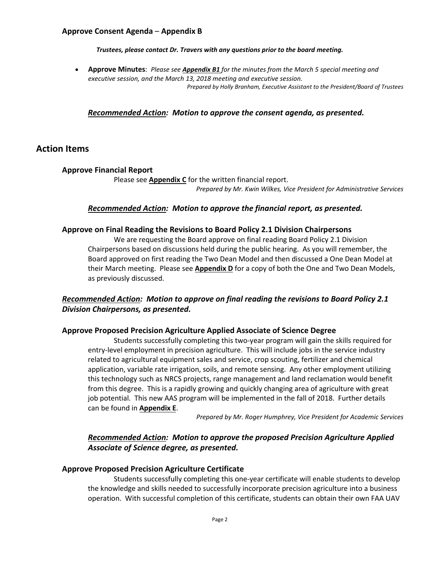### **Approve Consent Agenda** – **Appendix B**

*Trustees, please contact Dr. Travers with any questions prior to the board meeting.*

• **Approve Minutes**: *Please see Appendix B1 for the minutes from the March 5 special meeting and executive session, and the March 13, 2018 meeting and executive session. Prepared by Holly Branham, Executive Assistant to the President/Board of Trustees*

#### *Recommended Action: Motion to approve the consent agenda, as presented.*

### **Action Items**

#### **Approve Financial Report**

Please see **Appendix C** for the written financial report. *Prepared by Mr. Kwin Wilkes, Vice President for Administrative Services*

#### *Recommended Action: Motion to approve the financial report, as presented.*

#### **Approve on Final Reading the Revisions to Board Policy 2.1 Division Chairpersons**

We are requesting the Board approve on final reading Board Policy 2.1 Division Chairpersons based on discussions held during the public hearing. As you will remember, the Board approved on first reading the Two Dean Model and then discussed a One Dean Model at their March meeting. Please see **Appendix D** for a copy of both the One and Two Dean Models, as previously discussed.

### *Recommended Action: Motion to approve on final reading the revisions to Board Policy 2.1 Division Chairpersons, as presented.*

#### **Approve Proposed Precision Agriculture Applied Associate of Science Degree**

Students successfully completing this two-year program will gain the skills required for entry-level employment in precision agriculture. This will include jobs in the service industry related to agricultural equipment sales and service, crop scouting, fertilizer and chemical application, variable rate irrigation, soils, and remote sensing. Any other employment utilizing this technology such as NRCS projects, range management and land reclamation would benefit from this degree. This is a rapidly growing and quickly changing area of agriculture with great job potential. This new AAS program will be implemented in the fall of 2018. Further details can be found in **Appendix E**.

*Prepared by Mr. Roger Humphrey, Vice President for Academic Services*

### *Recommended Action: Motion to approve the proposed Precision Agriculture Applied Associate of Science degree, as presented.*

#### **Approve Proposed Precision Agriculture Certificate**

Students successfully completing this one-year certificate will enable students to develop the knowledge and skills needed to successfully incorporate precision agriculture into a business operation. With successful completion of this certificate, students can obtain their own FAA UAV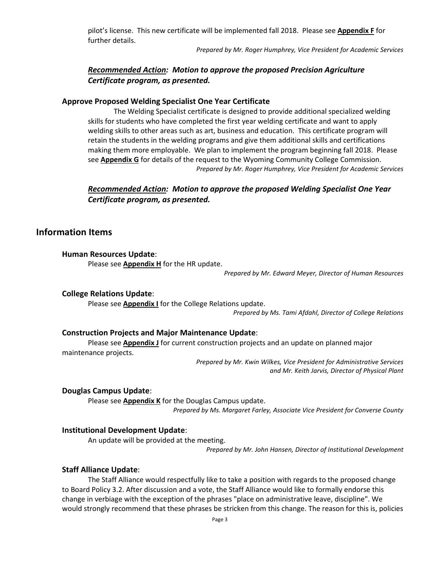pilot's license. This new certificate will be implemented fall 2018. Please see **Appendix F** for further details.

*Prepared by Mr. Roger Humphrey, Vice President for Academic Services*

### *Recommended Action: Motion to approve the proposed Precision Agriculture Certificate program, as presented.*

#### **Approve Proposed Welding Specialist One Year Certificate**

The Welding Specialist certificate is designed to provide additional specialized welding skills for students who have completed the first year welding certificate and want to apply welding skills to other areas such as art, business and education. This certificate program will retain the students in the welding programs and give them additional skills and certifications making them more employable. We plan to implement the program beginning fall 2018. Please see **Appendix G** for details of the request to the Wyoming Community College Commission. *Prepared by Mr. Roger Humphrey, Vice President for Academic Services*

### *Recommended Action: Motion to approve the proposed Welding Specialist One Year Certificate program, as presented.*

# **Information Items**

#### **Human Resources Update**:

Please see **Appendix H** for the HR update.

*Prepared by Mr. Edward Meyer, Director of Human Resources*

#### **College Relations Update**:

Please see **Appendix I** for the College Relations update.

*Prepared by Ms. Tami Afdahl, Director of College Relations*

#### **Construction Projects and Major Maintenance Update**:

Please see **Appendix J** for current construction projects and an update on planned major maintenance projects.

> *Prepared by Mr. Kwin Wilkes, Vice President for Administrative Services and Mr. Keith Jarvis, Director of Physical Plant*

#### **Douglas Campus Update**:

Please see **Appendix K** for the Douglas Campus update. *Prepared by Ms. Margaret Farley, Associate Vice President for Converse County*

#### **Institutional Development Update**:

An update will be provided at the meeting.

*Prepared by Mr. John Hansen, Director of Institutional Development*

#### **Staff Alliance Update**:

The Staff Alliance would respectfully like to take a position with regards to the proposed change to Board Policy 3.2. After discussion and a vote, the Staff Alliance would like to formally endorse this change in verbiage with the exception of the phrases "place on administrative leave, discipline". We would strongly recommend that these phrases be stricken from this change. The reason for this is, policies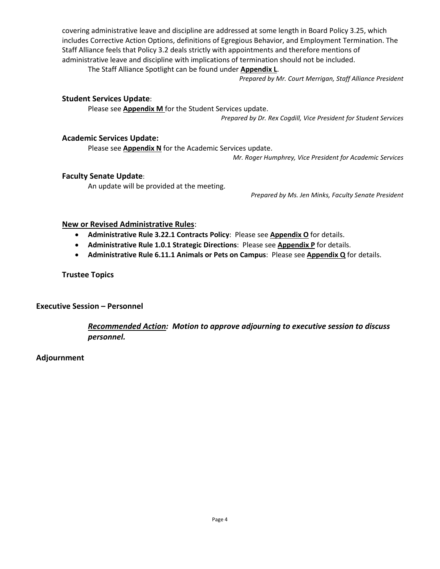covering administrative leave and discipline are addressed at some length in Board Policy 3.25, which includes Corrective Action Options, definitions of Egregious Behavior, and Employment Termination. The Staff Alliance feels that Policy 3.2 deals strictly with appointments and therefore mentions of administrative leave and discipline with implications of termination should not be included.

The Staff Alliance Spotlight can be found under **Appendix L**.

*Prepared by Mr. Court Merrigan, Staff Alliance President*

#### **Student Services Update**:

Please see **Appendix M** for the Student Services update.

*Prepared by Dr. Rex Cogdill, Vice President for Student Services*

#### **Academic Services Update:**

Please see **Appendix N** for the Academic Services update.

*Mr. Roger Humphrey, Vice President for Academic Services*

#### **Faculty Senate Update**:

An update will be provided at the meeting.

*Prepared by Ms. Jen Minks, Faculty Senate President*

#### **New or Revised Administrative Rules**:

- **Administrative Rule 3.22.1 Contracts Policy**: Please see **Appendix O** for details.
- **Administrative Rule 1.0.1 Strategic Directions**: Please see **Appendix P** for details.
- **Administrative Rule 6.11.1 Animals or Pets on Campus**: Please see **Appendix Q** for details.

### **Trustee Topics**

### **Executive Session – Personnel**

*Recommended Action: Motion to approve adjourning to executive session to discuss personnel.*

### **Adjournment**